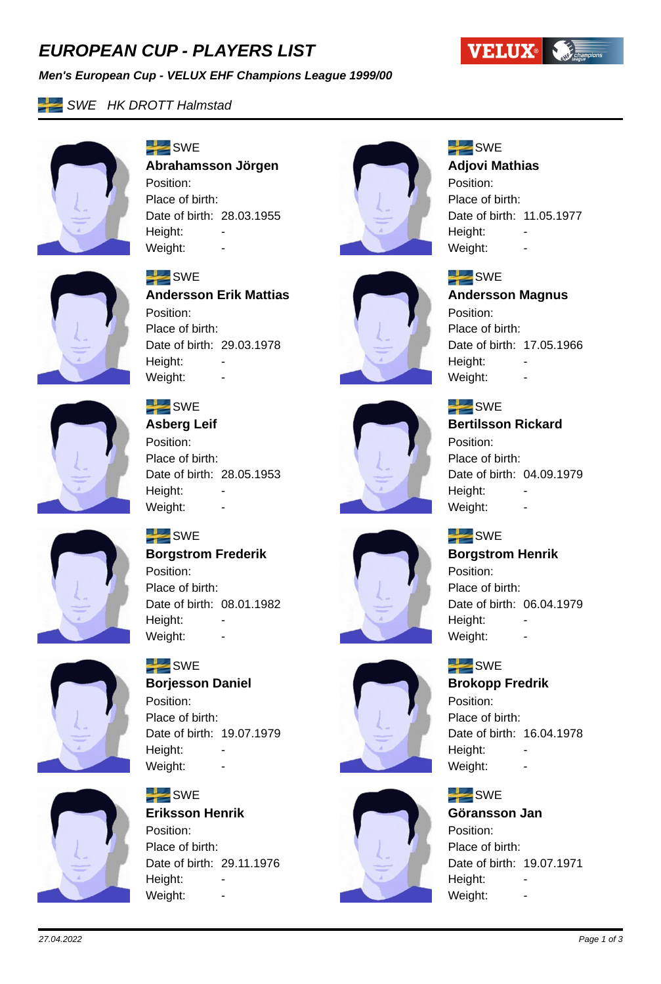# *EUROPEAN CUP - PLAYERS LIST*

#### *Men's European Cup - VELUX EHF Champions League 1999/00*



**SWE HK DROTT Halmstad** 



 $SWE$ **Abrahamsson Jörgen** Position: Place of birth: Date of birth: 28.03.1955 Height: -Weight:



# $SWE$

 $SWE$ 

Position:

Height:

Place of birth:

#### **Adjovi Mathias**

Position: Place of birth: Date of birth: 11.05.1977 Height: Weight:

**Andersson Magnus**

Date of birth: 17.05.1966



## $SWE$

**Andersson Erik Mattias** Position: Place of birth: Date of birth: 29.03.1978 Height: Weight: -



# $SWE$

**Asberg Leif** Position: Place of birth: Date of birth: 28.05.1953 Height: Weight: -



#### $SWE$ **Bertilsson Rickard**

Weight: -

Position: Place of birth: Date of birth: 04.09.1979 Height: Weight: -

## $SWE$

#### **Borgstrom Henrik** Position:

Place of birth: Date of birth: 06.04.1979 Height: Weight: -

## $SWE$

#### **Brokopp Fredrik**

Position: Place of birth: Date of birth: 16.04.1978 Height: Weight: -

## $SWE$

**Göransson Jan** Position: Place of birth: Date of birth: 19.07.1971 Height: Weight: -



# $SWE$

**Borgstrom Frederik** Position: Place of birth: Date of birth: 08.01.1982 Height: Weight: -



# $SWE$

**Borjesson Daniel** Position: Place of birth: Date of birth: 19.07.1979 Height: Weight: -



#### $SWE$ **Eriksson Henrik** Position: Place of birth: Date of birth: 29.11.1976 Height:

Weight:

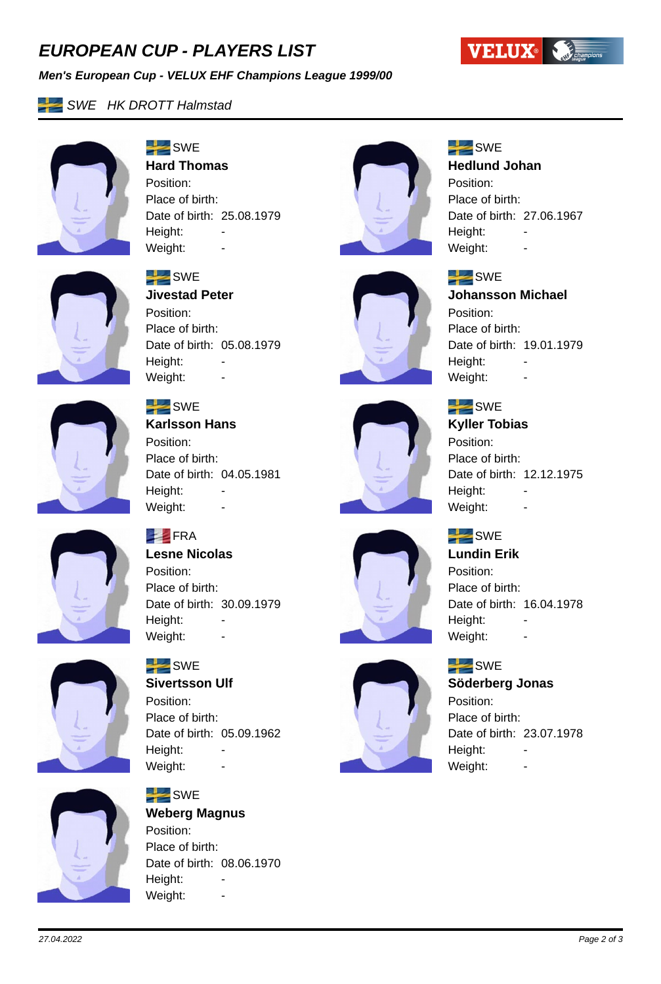# *EUROPEAN CUP - PLAYERS LIST*

#### *Men's European Cup - VELUX EHF Champions League 1999/00*



## **SWE HK DROTT Halmstad**



#### $SWE$ **Hard Thomas**

Position: Place of birth: Date of birth: 25.08.1979 Height: -Weight:



# $SWE$

 $SWE$ 

Position:

Height:

Place of birth:

Weight: -

#### **Hedlund Johan**

Position: Place of birth: Date of birth: 27.06.1967 Height: Weight:

**Johansson Michael**

Date of birth: 19.01.1979



## $SWE$

**Jivestad Peter** Position: Place of birth: Date of birth: 05.08.1979 Height: Weight: -



# $SWE$

**Karlsson Hans** Position: Place of birth: Date of birth: 04.05.1981 Height: Weight: -



# $SWE$ **Kyller Tobias** Position:

Place of birth: Date of birth: 12.12.1975 Height: Weight: -

## $SWE$

**Lundin Erik** Position: Place of birth: Date of birth: 16.04.1978 Height: Weight: -

## $SWE$

## **Söderberg Jonas**

Position: Place of birth: Date of birth: 23.07.1978 Height: Weight: -



# **FRA**

**Lesne Nicolas** Position: Place of birth: Date of birth: 30.09.1979 Height: -Weight: -



#### $SWE$ **Sivertsson Ulf**

Position: Place of birth: Date of birth: 05.09.1962 Height: Weight: -



#### $SWE$ **Weberg Magnus** Position: Place of birth: Date of birth: 08.06.1970 Height:

Weight: -